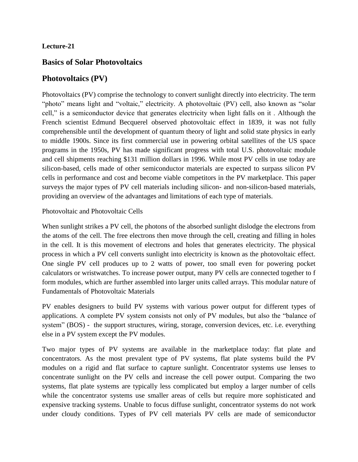#### **Lecture-21**

#### **Basics of Solar Photovoltaics**

#### **Photovoltaics (PV)**

Photovoltaics (PV) comprise the technology to convert sunlight directly into electricity. The term "photo" means light and "voltaic," electricity. A photovoltaic (PV) cell, also known as "solar cell," is a semiconductor device that generates electricity when light falls on it . Although the French scientist Edmund Becquerel observed photovoltaic effect in 1839, it was not fully comprehensible until the development of quantum theory of light and solid state physics in early to middle 1900s. Since its first commercial use in powering orbital satellites of the US space programs in the 1950s, PV has made significant progress with total U.S. photovoltaic module and cell shipments reaching \$131 million dollars in 1996. While most PV cells in use today are silicon-based, cells made of other semiconductor materials are expected to surpass silicon PV cells in performance and cost and become viable competitors in the PV marketplace. This paper surveys the major types of PV cell materials including silicon- and non-silicon-based materials, providing an overview of the advantages and limitations of each type of materials.

#### Photovoltaic and Photovoltaic Cells

When sunlight strikes a PV cell, the photons of the absorbed sunlight dislodge the electrons from the atoms of the cell. The free electrons then move through the cell, creating and filling in holes in the cell. It is this movement of electrons and holes that generates electricity. The physical process in which a PV cell converts sunlight into electricity is known as the photovoltaic effect. One single PV cell produces up to 2 watts of power, too small even for powering pocket calculators or wristwatches. To increase power output, many PV cells are connected together to f form modules, which are further assembled into larger units called arrays. This modular nature of Fundamentals of Photovoltaic Materials

PV enables designers to build PV systems with various power output for different types of applications. A complete PV system consists not only of PV modules, but also the "balance of system" (BOS) - the support structures, wiring, storage, conversion devices, etc. i.e. everything else in a PV system except the PV modules.

Two major types of PV systems are available in the marketplace today: flat plate and concentrators. As the most prevalent type of PV systems, flat plate systems build the PV modules on a rigid and flat surface to capture sunlight. Concentrator systems use lenses to concentrate sunlight on the PV cells and increase the cell power output. Comparing the two systems, flat plate systems are typically less complicated but employ a larger number of cells while the concentrator systems use smaller areas of cells but require more sophisticated and expensive tracking systems. Unable to focus diffuse sunlight, concentrator systems do not work under cloudy conditions. Types of PV cell materials PV cells are made of semiconductor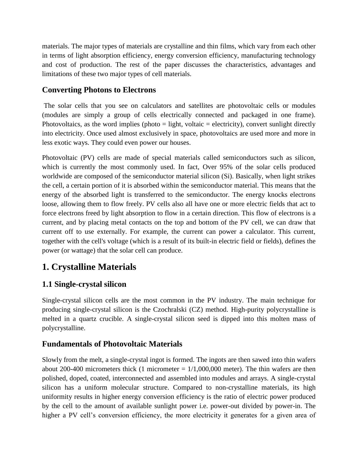materials. The major types of materials are crystalline and thin films, which vary from each other in terms of light absorption efficiency, energy conversion efficiency, manufacturing technology and cost of production. The rest of the paper discusses the characteristics, advantages and limitations of these two major types of cell materials.

#### **Converting Photons to Electrons**

The solar cells that you see on calculators and satellites are photovoltaic cells or modules (modules are simply a group of cells electrically connected and packaged in one frame). Photovoltaics, as the word implies (photo  $=$  light, voltaic  $=$  electricity), convert sunlight directly into electricity. Once used almost exclusively in space, photovoltaics are used more and more in less exotic ways. They could even power our houses.

Photovoltaic (PV) cells are made of special materials called semiconductors such as silicon, which is currently the most commonly used. In fact, Over 95% of the solar cells produced worldwide are composed of the semiconductor material silicon (Si). Basically, when light strikes the cell, a certain portion of it is absorbed within the semiconductor material. This means that the energy of the absorbed light is transferred to the semiconductor. The energy knocks electrons loose, allowing them to flow freely. PV cells also all have one or more electric fields that act to force electrons freed by light absorption to flow in a certain direction. This flow of electrons is a current, and by placing metal contacts on the top and bottom of the PV cell, we can draw that current off to use externally. For example, the current can power a calculator. This current, together with the cell's voltage (which is a result of its built-in electric field or fields), defines the power (or wattage) that the solar cell can produce.

# **1. Crystalline Materials**

## **1.1 Single-crystal silicon**

Single-crystal silicon cells are the most common in the PV industry. The main technique for producing single-crystal silicon is the Czochralski (CZ) method. High-purity polycrystalline is melted in a quartz crucible. A single-crystal silicon seed is dipped into this molten mass of polycrystalline.

#### **Fundamentals of Photovoltaic Materials**

Slowly from the melt, a single-crystal ingot is formed. The ingots are then sawed into thin wafers about 200-400 micrometers thick (1 micrometer  $= 1/1,000,000$  meter). The thin wafers are then polished, doped, coated, interconnected and assembled into modules and arrays. A single-crystal silicon has a uniform molecular structure. Compared to non-crystalline materials, its high uniformity results in higher energy conversion efficiency is the ratio of electric power produced by the cell to the amount of available sunlight power i.e. power-out divided by power-in. The higher a PV cell's conversion efficiency, the more electricity it generates for a given area of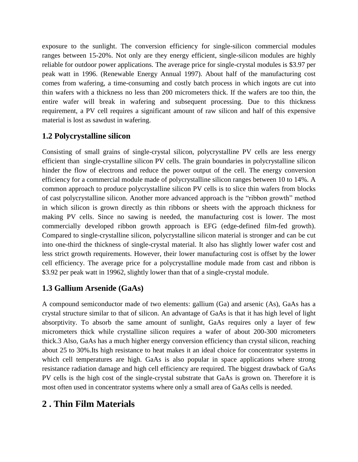exposure to the sunlight. The conversion efficiency for single-silicon commercial modules ranges between 15-20%. Not only are they energy efficient, single-silicon modules are highly reliable for outdoor power applications. The average price for single-crystal modules is \$3.97 per peak watt in 1996. (Renewable Energy Annual 1997). About half of the manufacturing cost comes from wafering, a time-consuming and costly batch process in which ingots are cut into thin wafers with a thickness no less than 200 micrometers thick. If the wafers are too thin, the entire wafer will break in wafering and subsequent processing. Due to this thickness requirement, a PV cell requires a significant amount of raw silicon and half of this expensive material is lost as sawdust in wafering.

## **1.2 Polycrystalline silicon**

Consisting of small grains of single-crystal silicon, polycrystalline PV cells are less energy efficient than single-crystalline silicon PV cells. The grain boundaries in polycrystalline silicon hinder the flow of electrons and reduce the power output of the cell. The energy conversion efficiency for a commercial module made of polycrystalline silicon ranges between 10 to 14%. A common approach to produce polycrystalline silicon PV cells is to slice thin wafers from blocks of cast polycrystalline silicon. Another more advanced approach is the "ribbon growth" method in which silicon is grown directly as thin ribbons or sheets with the approach thickness for making PV cells. Since no sawing is needed, the manufacturing cost is lower. The most commercially developed ribbon growth approach is EFG (edge-defined film-fed growth). Compared to single-crystalline silicon, polycrystalline silicon material is stronger and can be cut into one-third the thickness of single-crystal material. It also has slightly lower wafer cost and less strict growth requirements. However, their lower manufacturing cost is offset by the lower cell efficiency. The average price for a polycrystalline module made from cast and ribbon is \$3.92 per peak watt in 19962, slightly lower than that of a single-crystal module.

## **1.3 Gallium Arsenide (GaAs)**

A compound semiconductor made of two elements: gallium (Ga) and arsenic (As), GaAs has a crystal structure similar to that of silicon. An advantage of GaAs is that it has high level of light absorptivity. To absorb the same amount of sunlight, GaAs requires only a layer of few micrometers thick while crystalline silicon requires a wafer of about 200-300 micrometers thick.3 Also, GaAs has a much higher energy conversion efficiency than crystal silicon, reaching about 25 to 30%.Its high resistance to heat makes it an ideal choice for concentrator systems in which cell temperatures are high. GaAs is also popular in space applications where strong resistance radiation damage and high cell efficiency are required. The biggest drawback of GaAs PV cells is the high cost of the single-crystal substrate that GaAs is grown on. Therefore it is most often used in concentrator systems where only a small area of GaAs cells is needed.

# **2 . Thin Film Materials**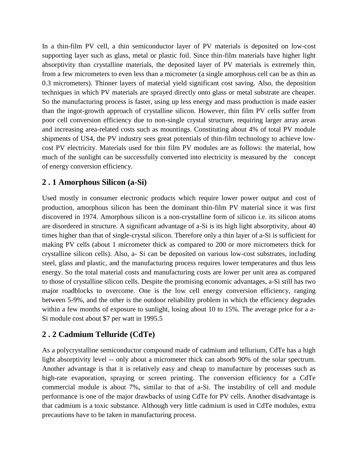In a thin-film PV cell, a thin semiconductor layer of PV materials is deposited on low-cost supporting layer such as glass, metal or plastic foil. Since thin-film materials have higher light absorptivity than crystalline materials, the deposited layer of PV materials is extremely thin, from a few micrometers to even less than a micrometer (a single amorphous cell can be as thin as 0.3 micrometers). Thinner layers of material yield significant cost saving. Also, the deposition techniques in which PV materials are sprayed directly onto glass or metal substrate are cheaper. So the manufacturing process is faster, using up less energy and mass production is made easier than the ingot-growth approach of crystalline silicon. However, thin film PV cells suffer from poor cell conversion efficiency due to non-single crystal structure, requiring larger array areas and increasing area-related costs such as mountings. Constituting about 4% of total PV module shipments of US4, the PV industry sees great potentials of thin-film technology to achieve lowcost PV electricity. Materials used for thin film PV modules are as follows: the material, how much of the sunlight can be successfully converted into electricity is measured by the concept of energy conversion efficiency.

#### **2 . 1 Amorphous Silicon (a-Si)**

Used mostly in consumer electronic products which require lower power output and cost of production, amorphous silicon has been the dominant thin-film PV material since it was first discovered in 1974. Amorphous silicon is a non-crystalline form of silicon i.e. its silicon atoms are disordered in structure. A significant advantage of a-Si is its high light absorptivity, about 40 times higher than that of single-crystal silicon. Therefore only a thin layer of a-Si is sufficient for making PV cells (about 1 micrometer thick as compared to 200 or more micrometers thick for crystalline silicon cells). Also, a- Si can be deposited on various low-cost substrates, including steel, glass and plastic, and the manufacturing process requires lower temperatures and thus less energy. So the total material costs and manufacturing costs are lower per unit area as compared to those of crystalline silicon cells. Despite the promising economic advantages, a-Si still has two major roadblocks to overcome. One is the low cell energy conversion efficiency, ranging between 5-9%, and the other is the outdoor reliability problem in which the efficiency degrades within a few months of exposure to sunlight, losing about 10 to 15%. The average price for a a-Si module cost about \$7 per watt in 1995.5

#### **2 . 2 Cadmium Telluride (CdTe)**

As a polycrystalline semiconductor compound made of cadmium and tellurium, CdTe has a high light absorptivity level -- only about a micrometer thick can absorb 90% of the solar spectrum. Another advantage is that it is relatively easy and cheap to manufacture by processes such as high-rate evaporation, spraying or screen printing. The conversion efficiency for a CdTe commercial module is about 7%, similar to that of a-Si. The instability of cell and module performance is one of the major drawbacks of using CdTe for PV cells. Another disadvantage is that cadmium is a toxic substance. Although very little cadmium is used in CdTe modules, extra precautions have to be taken in manufacturing process.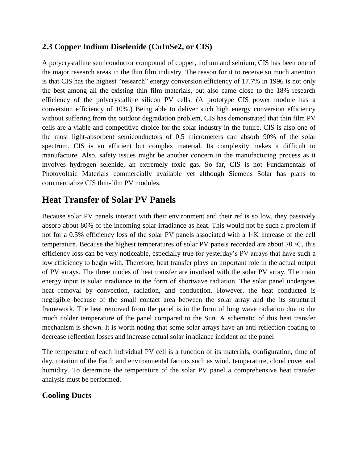#### **2.3 Copper Indium Diselenide (CuInSe2, or CIS)**

A polycrystalline semiconductor compound of copper, indium and selnium, CIS has been one of the major research areas in the thin film industry. The reason for it to receive so much attention is that CIS has the highest "research" energy conversion efficiency of 17.7% in 1996 is not only the best among all the existing thin film materials, but also came close to the 18% research efficiency of the polycrystalline silicon PV cells. (A prototype CIS power module has a conversion efficiency of 10%.) Being able to deliver such high energy conversion efficiency without suffering from the outdoor degradation problem, CIS has demonstrated that thin film PV cells are a viable and competitive choice for the solar industry in the future. CIS is also one of the most light-absorbent semiconductors of 0.5 micrometers can absorb 90% of the solar spectrum. CIS is an efficient but complex material. Its complexity makes it difficult to manufacture. Also, safety issues might be another concern in the manufacturing process as it involves hydrogen selenide, an extremely toxic gas. So far, CIS is not Fundamentals of Photovoltaic Materials commercially available yet although Siemens Solar has plans to commercialize CIS thin-film PV modules.

# **Heat Transfer of Solar PV Panels**

Because solar PV panels interact with their environment and their ref is so low, they passively absorb about 80% of the incoming solar irradiance as heat. This would not be such a problem if not for a 0.5% efficiency loss of the solar PV panels associated with a 1◦K increase of the cell temperature. Because the highest temperatures of solar PV panels recorded are about 70  $\circ$ C, this efficiency loss can be very noticeable, especially true for yesterday's PV arrays that have such a low efficiency to begin with. Therefore, heat transfer plays an important role in the actual output of PV arrays. The three modes of heat transfer are involved with the solar PV array. The main energy input is solar irradiance in the form of shortwave radiation. The solar panel undergoes heat removal by convection, radiation, and conduction. However, the heat conducted is negligible because of the small contact area between the solar array and the its structural framework. The heat removed from the panel is in the form of long wave radiation due to the much colder temperature of the panel compared to the Sun. A schematic of this heat transfer mechanism is shown. It is worth noting that some solar arrays have an anti-reflection coating to decrease reflection losses and increase actual solar irradiance incident on the panel

The temperature of each individual PV cell is a function of its materials, configuration, time of day, rotation of the Earth and environmental factors such as wind, temperature, cloud cover and humidity. To determine the temperature of the solar PV panel a comprehensive heat transfer analysis must be performed.

#### **Cooling Ducts**